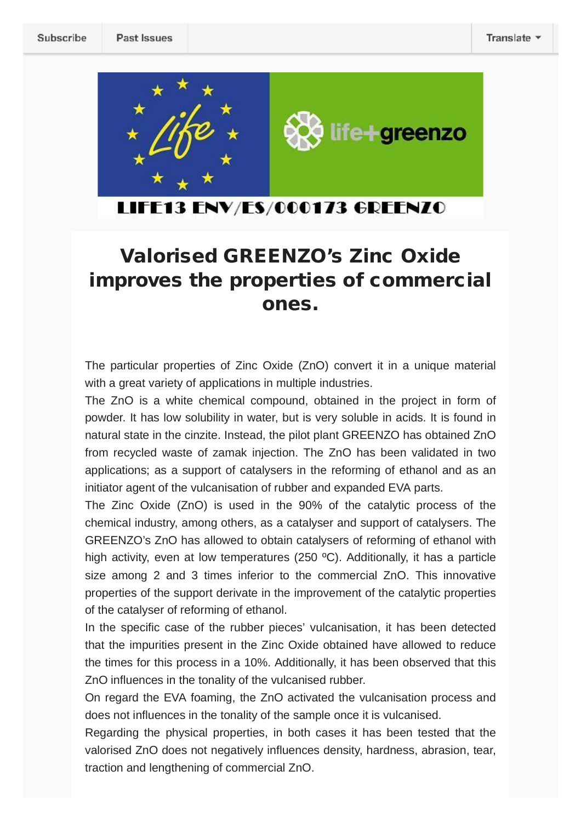

### LIFE13 ENV/ES/000173 GREENZO

## **Valorised GREENZO's Zinc Oxide improves the properties of commercial ones.**

The particular properties of Zinc Oxide (ZnO) convert it in a unique material with a great variety of applications in multiple industries.

The ZnO is a white chemical compound, obtained in the project in form of powder. It has low solubility in water, but is very soluble in acids. It is found in natural state in the cinzite. Instead, the pilot plant GREENZO has obtained ZnO from recycled waste of zamak injection. The ZnO has been validated in two applications; as a support of catalysers in the reforming of ethanol and as an initiator agent of the vulcanisation of rubber and expanded EVA parts.

The Zinc Oxide (ZnO) is used in the 90% of the catalytic process of the chemical industry, among others, as a catalyser and support of catalysers. The GREENZO's ZnO has allowed to obtain catalysers of reforming of ethanol with high activity, even at low temperatures (250 °C). Additionally, it has a particle size among 2 and 3 times inferior to the commercial ZnO. This innovative properties of the support derivate in the improvement of the catalytic properties of the catalyser of reforming of ethanol.

In the specific case of the rubber pieces' vulcanisation, it has been detected that the impurities present in the Zinc Oxide obtained have allowed to reduce the times for this process in a 10%. Additionally, it has been observed that this ZnO influences in the tonality of the vulcanised rubber.

On regard the EVA foaming, the ZnO activated the vulcanisation process and does not influences in the tonality of the sample once it is vulcanised.

Regarding the physical properties, in both cases it has been tested that the valorised ZnO does not negatively influences density, hardness, abrasion, tear, traction and lengthening of commercial ZnO.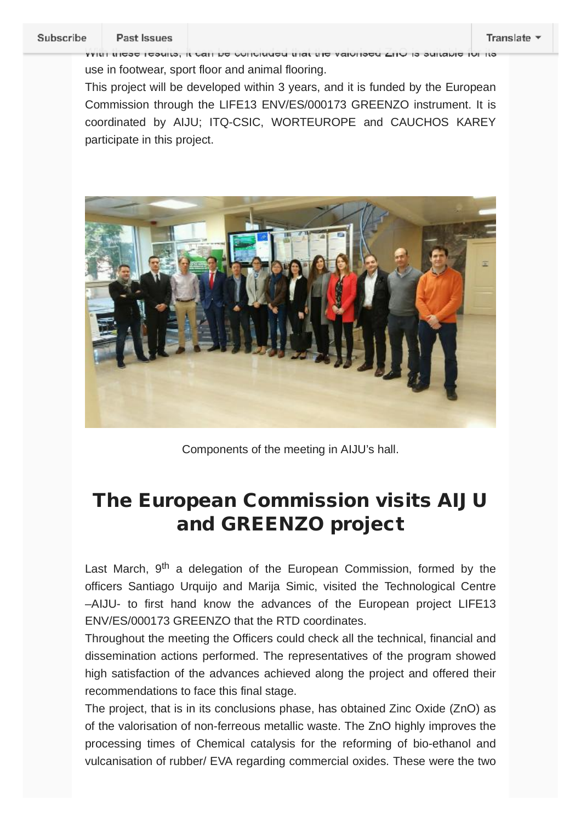#### Subscribe

With these results, it can be concluded that the valorised ZnO is suitable for its

use in footwear, sport floor and animal flooring.

This project will be developed within 3 years, and it is funded by the European Commission through the LIFE13 ENV/ES/000173 GREENZO instrument. It is coordinated by AIJU; ITQ-CSIC, WORTEUROPE and CAUCHOS KAREY participate in this project.



Components of the meeting in AIJU's hall.

# **The European Commission visits AIJU and GREENZO project**

Last March,  $9<sup>th</sup>$  a delegation of the European Commission, formed by the officers Santiago Urquijo and Marija Simic, visited the Technological Centre –AIJU- to first hand know the advances of the European project LIFE13 ENV/ES/000173 GREENZO that the RTD coordinates.

Throughout the meeting the Officers could check all the technical, financial and dissemination actions performed. The representatives of the program showed high satisfaction of the advances achieved along the project and offered their recommendations to face this final stage.

The project, that is in its conclusions phase, has obtained Zinc Oxide (ZnO) as of the valorisation of non-ferreous metallic waste. The ZnO highly improves the processing times of Chemical catalysis for the reforming of bio-ethanol and vulcanisation of rubber/ EVA regarding commercial oxides. These were the two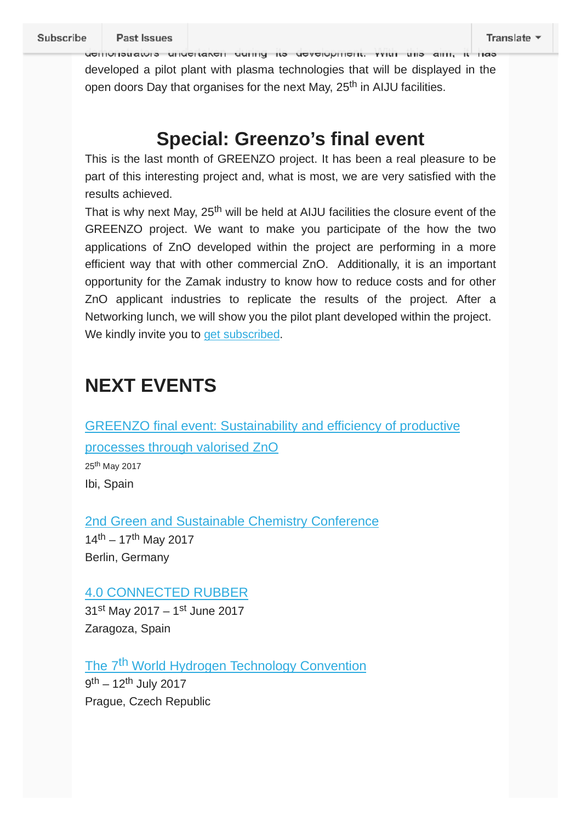demonstrators undertaken during its development. With this aim, it has developed a pilot plant with plasma technologies that will be displayed in the open doors Day that organises for the next May, 25<sup>th</sup> in AIJU facilities.

## **Special: Greenzo's final event**

This is the last month of GREENZO project. It has been a real pleasure to be part of this interesting project and, what is most, we are very satisfied with the results achieved.

That is why next May, 25<sup>th</sup> will be held at AIJU facilities the closure event of the GREENZO project. We want to make you participate of the how the two applications of ZnO developed within the project are performing in a more efficient way that with other commercial ZnO. Additionally, it is an important opportunity for the Zamak industry to know how to reduce costs and for other ZnO applicant industries to replicate the results of the project. After a Networking lunch, we will show you the pilot plant developed within the project. We kindly invite you to get subscribed.

# **NEXT EVENTS**

GREENZO final event: Sustainability and efficiency of productive processes through valorised ZnO

25th May 2017 Ibi, Spain

2nd Green and Sustainable Chemistry Conference  $14^{th} - 17^{th}$  May 2017 Berlin, Germany

#### 4.0 CONNECTED RUBBER

 $31^{st}$  May 2017 – 1<sup>st</sup> June 2017 Zaragoza, Spain

The 7<sup>th</sup> World Hydrogen Technology Convention 9<sup>th</sup> – 12<sup>th</sup> July 2017 Prague, Czech Republic